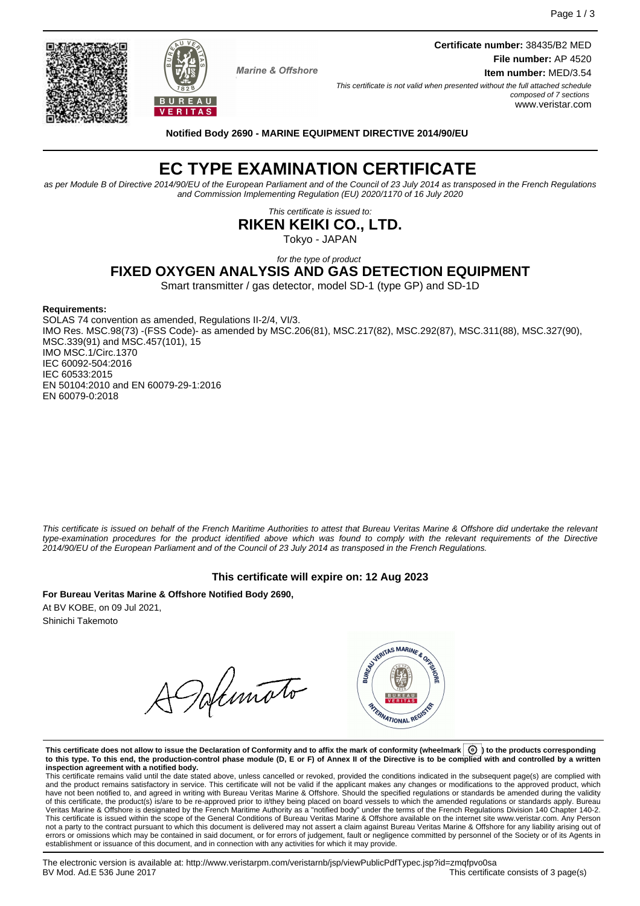**Marine & Offshore** 

BUREAU **VERITAS**  **Certificate number:** 38435/B2 MED **File number:** AP 4520 **Item number:** MED/3.54

This certificate is not valid when presented without the full attached schedule composed of 7 sections www.veristar.com

**Notified Body 2690 - MARINE EQUIPMENT DIRECTIVE 2014/90/EU**

# **EC TYPE EXAMINATION CERTIFICATE**

as per Module B of Directive 2014/90/EU of the European Parliament and of the Council of 23 July 2014 as transposed in the French Regulations and Commission Implementing Regulation (EU) 2020/1170 of 16 July 2020

This certificate is issued to:

**RIKEN KEIKI CO., LTD.**

Tokyo - JAPAN

#### for the type of product **FIXED OXYGEN ANALYSIS AND GAS DETECTION EQUIPMENT**

Smart transmitter / gas detector, model SD-1 (type GP) and SD-1D

#### **Requirements:**

SOLAS 74 convention as amended, Regulations II-2/4, VI/3. IMO Res. MSC.98(73) -(FSS Code)- as amended by MSC.206(81), MSC.217(82), MSC.292(87), MSC.311(88), MSC.327(90), MSC.339(91) and MSC.457(101), 15 IMO MSC.1/Circ.1370 IEC 60092-504:2016 IEC 60533:2015 EN 50104:2010 and EN 60079-29-1:2016 EN 60079-0:2018

This certificate is issued on behalf of the French Maritime Authorities to attest that Bureau Veritas Marine & Offshore did undertake the relevant type-examination procedures for the product identified above which was found to comply with the relevant requirements of the Directive 2014/90/EU of the European Parliament and of the Council of 23 July 2014 as transposed in the French Regulations.

## **This certificate will expire on: 12 Aug 2023**

**For Bureau Veritas Marine & Offshore Notified Body 2690,** At BV KOBE, on 09 Jul 2021, Shinichi Takemoto

Dolimato



This certificate does not allow to issue the Declaration of Conformity and to affix the mark of conformity (wheelmark  $\boxed{\textcircled{0}}$  to the products corresponding **to this type. To this end, the production-control phase module (D, E or F) of Annex II of the Directive is to be complied with and controlled by a written inspection agreement with a notified body.**

This certificate remains valid until the date stated above, unless cancelled or revoked, provided the conditions indicated in the subsequent page(s) are complied with and the product remains satisfactory in service. This certificate will not be valid if the applicant makes any changes or modifications to the approved product, which have not been notified to, and agreed in writing with Bureau Veritas Marine & Offshore. Should the specified regulations or standards be amended during the validity of this certificate, the product(s) is/are to be re-approved prior to it/they being placed on board vessels to which the amended regulations or standards apply. Bureau<br>Veritas Marine & Offshore is designated by the French not a party to the contract pursuant to which this document is delivered may not assert a claim against Bureau Veritas Marine & Offshore for any liability arising out of errors or omissions which may be contained in said document, or for errors of judgement, fault or negligence committed by personnel of the Society or of its Agents in establishment or issuance of this document, and in connection with any activities for which it may provide.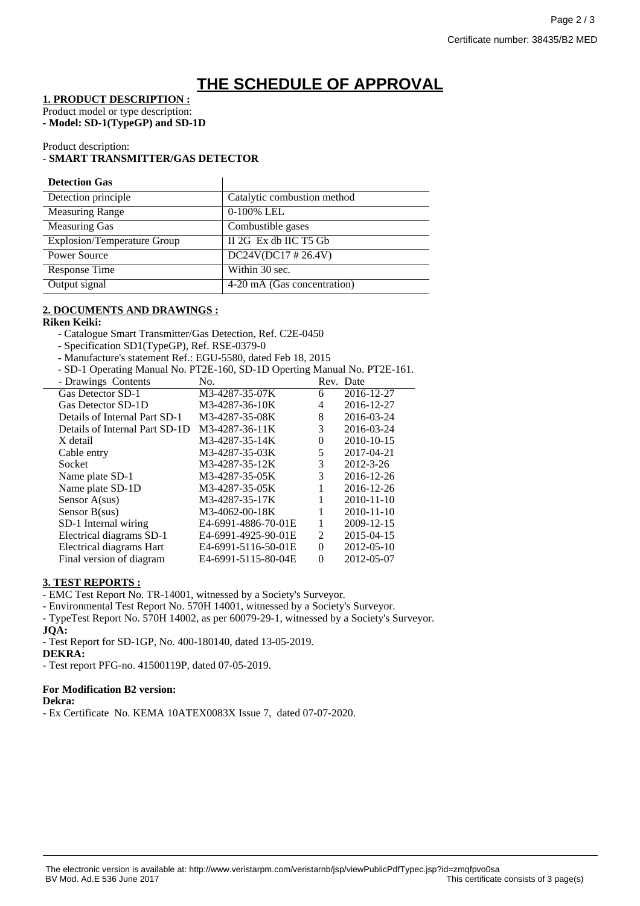## **THE SCHEDULE OF APPROVAL**

**1. PRODUCT DESCRIPTION :**

Product model or type description:

**- Model: SD-1(TypeGP) and SD-1D**

Product description:

## **- SMART TRANSMITTER/GAS DETECTOR**

## **Detection Gas**

| Catalytic combustion method |
|-----------------------------|
| 0-100% LEL                  |
| Combustible gases           |
| II 2G Ex db IIC T5 Gb       |
| $DC24V(DC17 \# 26.4V)$      |
| Within 30 sec.              |
| 4-20 mA (Gas concentration) |
|                             |

 $\overline{\phantom{a}}$ 

### **2. DOCUMENTS AND DRAWINGS :**

### **Riken Keiki:**

- Catalogue Smart Transmitter/Gas Detection, Ref. C2E-0450

- Specification SD1(TypeGP), Ref. RSE-0379-0

- Manufacture's statement Ref.: EGU-5580, dated Feb 18, 2015

- SD-1 Operating Manual No. PT2E-160, SD-1D Operting Manual No. PT2E-161.

| - Drawings Contents            | No.                 |          | Rev. Date       |
|--------------------------------|---------------------|----------|-----------------|
| Gas Detector SD-1              | M3-4287-35-07K      | 6        | 2016-12-27      |
| Gas Detector SD-1D             | M3-4287-36-10K      | 4        | 2016-12-27      |
| Details of Internal Part SD-1  | M3-4287-35-08K      | 8        | 2016-03-24      |
| Details of Internal Part SD-1D | M3-4287-36-11K      | 3        | 2016-03-24      |
| X detail                       | M3-4287-35-14K      | 0        | 2010-10-15      |
| Cable entry                    | M3-4287-35-03K      | 5        | 2017-04-21      |
| Socket                         | M3-4287-35-12K      | 3        | $2012 - 3 - 26$ |
| Name plate SD-1                | M3-4287-35-05K      | 3        | 2016-12-26      |
| Name plate SD-1D               | M3-4287-35-05K      |          | 2016-12-26      |
| Sensor $A(sus)$                | M3-4287-35-17K      |          | 2010-11-10      |
| Sensor $B(sus)$                | M3-4062-00-18K      |          | 2010-11-10      |
| SD-1 Internal wiring           | E4-6991-4886-70-01E |          | 2009-12-15      |
| Electrical diagrams SD-1       | E4-6991-4925-90-01E | 2        | 2015-04-15      |
| Electrical diagrams Hart       | E4-6991-5116-50-01E | $\Omega$ | 2012-05-10      |
| Final version of diagram       | E4-6991-5115-80-04E | $\Omega$ | 2012-05-07      |

## **3. TEST REPORTS :**

- EMC Test Report No. TR-14001, witnessed by a Society's Surveyor.

- Environmental Test Report No. 570H 14001, witnessed by a Society's Surveyor.

- TypeTest Report No. 570H 14002, as per 60079-29-1, witnessed by a Society's Surveyor. **JQA:**

- Test Report for SD-1GP, No. 400-180140, dated 13-05-2019.

**DEKRA:**

- Test report PFG-no. 41500119P, dated 07-05-2019.

## **For Modification B2 version:**

**Dekra:**

- Ex Certificate No. KEMA 10ATEX0083X Issue 7, dated 07-07-2020.